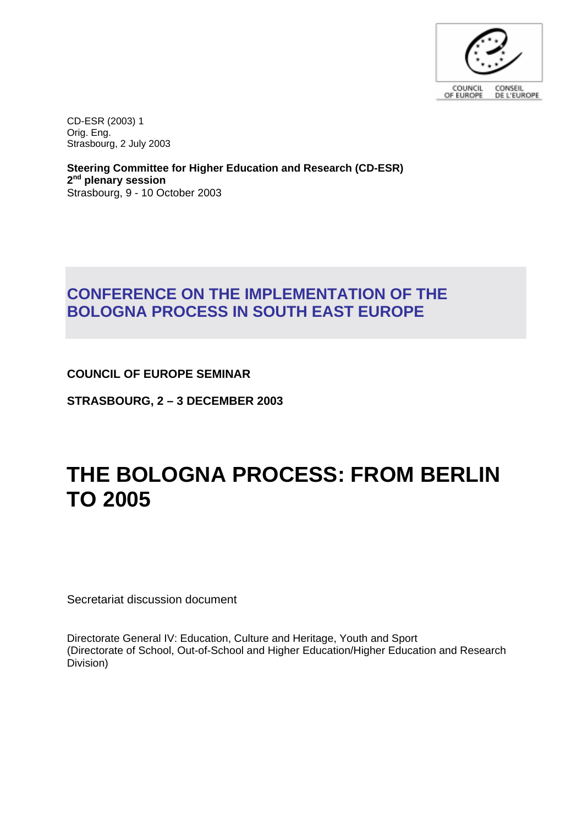

CD-ESR (2003) 1 Orig. Eng. Strasbourg, 2 July 2003

**Steering Committee for Higher Education and Research (CD-ESR) 2nd plenary session** Strasbourg, 9 - 10 October 2003

# **CONFERENCE ON THE IMPLEMENTATION OF THE BOLOGNA PROCESS IN SOUTH EAST EUROPE**

**COUNCIL OF EUROPE SEMINAR** 

**STRASBOURG, 2 – 3 DECEMBER 2003**

# **THE BOLOGNA PROCESS: FROM BERLIN TO 2005**

Secretariat discussion document

Directorate General IV: Education, Culture and Heritage, Youth and Sport (Directorate of School, Out-of-School and Higher Education/Higher Education and Research Division)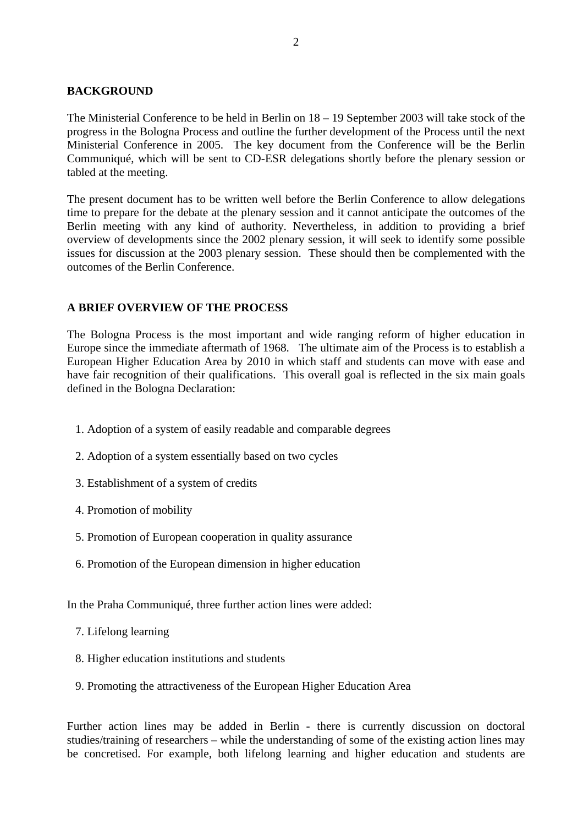#### **BACKGROUND**

The Ministerial Conference to be held in Berlin on 18 – 19 September 2003 will take stock of the progress in the Bologna Process and outline the further development of the Process until the next Ministerial Conference in 2005. The key document from the Conference will be the Berlin Communiqué, which will be sent to CD-ESR delegations shortly before the plenary session or tabled at the meeting.

The present document has to be written well before the Berlin Conference to allow delegations time to prepare for the debate at the plenary session and it cannot anticipate the outcomes of the Berlin meeting with any kind of authority. Nevertheless, in addition to providing a brief overview of developments since the 2002 plenary session, it will seek to identify some possible issues for discussion at the 2003 plenary session. These should then be complemented with the outcomes of the Berlin Conference.

### **A BRIEF OVERVIEW OF THE PROCESS**

The Bologna Process is the most important and wide ranging reform of higher education in Europe since the immediate aftermath of 1968. The ultimate aim of the Process is to establish a European Higher Education Area by 2010 in which staff and students can move with ease and have fair recognition of their qualifications. This overall goal is reflected in the six main goals defined in the Bologna Declaration:

- 1. Adoption of a system of easily readable and comparable degrees
- 2. Adoption of a system essentially based on two cycles
- 3. Establishment of a system of credits
- 4. Promotion of mobility
- 5. Promotion of European cooperation in quality assurance
- 6. Promotion of the European dimension in higher education

In the Praha Communiqué, three further action lines were added:

- 7. Lifelong learning
- 8. Higher education institutions and students
- 9. Promoting the attractiveness of the European Higher Education Area

Further action lines may be added in Berlin - there is currently discussion on doctoral studies/training of researchers – while the understanding of some of the existing action lines may be concretised. For example, both lifelong learning and higher education and students are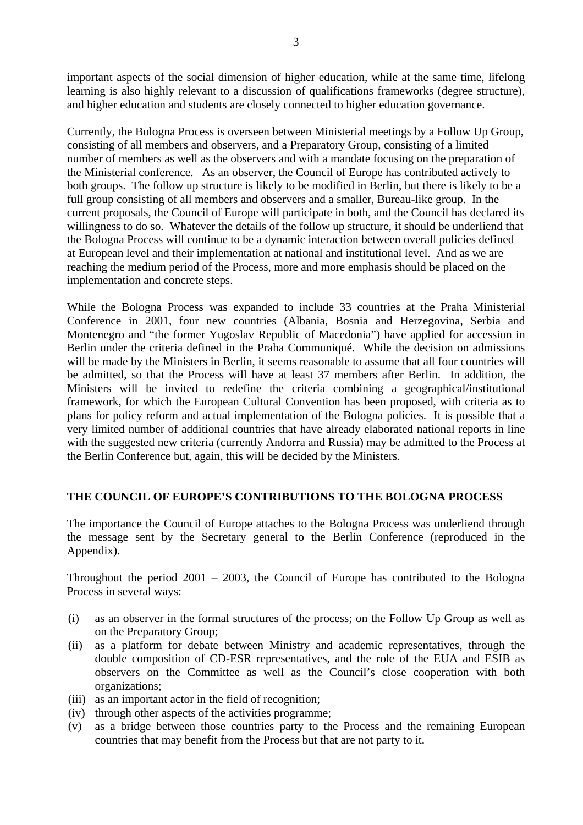important aspects of the social dimension of higher education, while at the same time, lifelong learning is also highly relevant to a discussion of qualifications frameworks (degree structure), and higher education and students are closely connected to higher education governance.

Currently, the Bologna Process is overseen between Ministerial meetings by a Follow Up Group, consisting of all members and observers, and a Preparatory Group, consisting of a limited number of members as well as the observers and with a mandate focusing on the preparation of the Ministerial conference. As an observer, the Council of Europe has contributed actively to both groups. The follow up structure is likely to be modified in Berlin, but there is likely to be a full group consisting of all members and observers and a smaller, Bureau-like group. In the current proposals, the Council of Europe will participate in both, and the Council has declared its willingness to do so. Whatever the details of the follow up structure, it should be underliend that the Bologna Process will continue to be a dynamic interaction between overall policies defined at European level and their implementation at national and institutional level. And as we are reaching the medium period of the Process, more and more emphasis should be placed on the implementation and concrete steps.

While the Bologna Process was expanded to include 33 countries at the Praha Ministerial Conference in 2001, four new countries (Albania, Bosnia and Herzegovina, Serbia and Montenegro and "the former Yugoslav Republic of Macedonia") have applied for accession in Berlin under the criteria defined in the Praha Communiqué. While the decision on admissions will be made by the Ministers in Berlin, it seems reasonable to assume that all four countries will be admitted, so that the Process will have at least 37 members after Berlin. In addition, the Ministers will be invited to redefine the criteria combining a geographical/institutional framework, for which the European Cultural Convention has been proposed, with criteria as to plans for policy reform and actual implementation of the Bologna policies. It is possible that a very limited number of additional countries that have already elaborated national reports in line with the suggested new criteria (currently Andorra and Russia) may be admitted to the Process at the Berlin Conference but, again, this will be decided by the Ministers.

#### **THE COUNCIL OF EUROPE'S CONTRIBUTIONS TO THE BOLOGNA PROCESS**

The importance the Council of Europe attaches to the Bologna Process was underliend through the message sent by the Secretary general to the Berlin Conference (reproduced in the Appendix).

Throughout the period 2001 – 2003, the Council of Europe has contributed to the Bologna Process in several ways:

- (i) as an observer in the formal structures of the process; on the Follow Up Group as well as on the Preparatory Group;
- (ii) as a platform for debate between Ministry and academic representatives, through the double composition of CD-ESR representatives, and the role of the EUA and ESIB as observers on the Committee as well as the Council's close cooperation with both organizations;
- (iii) as an important actor in the field of recognition;
- (iv) through other aspects of the activities programme;
- (v) as a bridge between those countries party to the Process and the remaining European countries that may benefit from the Process but that are not party to it.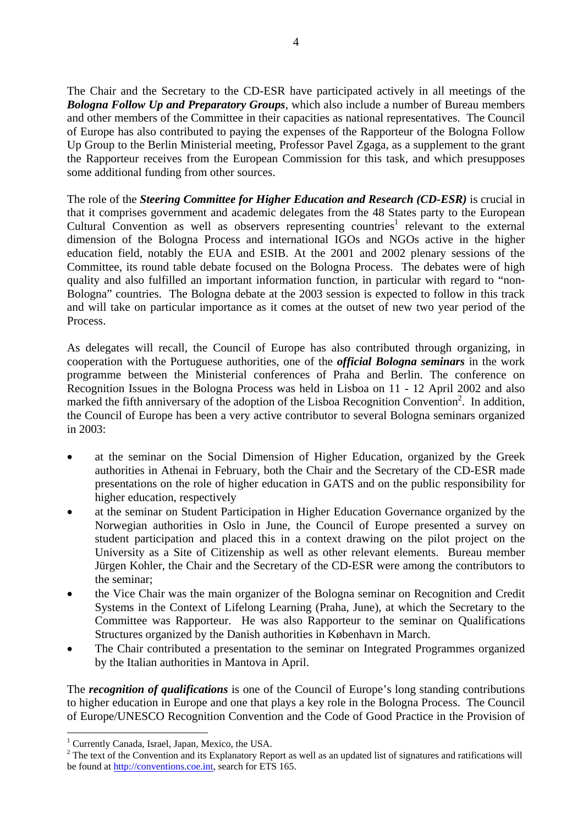The Chair and the Secretary to the CD-ESR have participated actively in all meetings of the *Bologna Follow Up and Preparatory Groups*, which also include a number of Bureau members and other members of the Committee in their capacities as national representatives. The Council of Europe has also contributed to paying the expenses of the Rapporteur of the Bologna Follow Up Group to the Berlin Ministerial meeting, Professor Pavel Zgaga, as a supplement to the grant the Rapporteur receives from the European Commission for this task, and which presupposes some additional funding from other sources.

The role of the *Steering Committee for Higher Education and Research (CD-ESR)* is crucial in that it comprises government and academic delegates from the 48 States party to the European Cultural Convention as well as observers representing countries<sup>1</sup> relevant to the external dimension of the Bologna Process and international IGOs and NGOs active in the higher education field, notably the EUA and ESIB. At the 2001 and 2002 plenary sessions of the Committee, its round table debate focused on the Bologna Process. The debates were of high quality and also fulfilled an important information function, in particular with regard to "non-Bologna" countries. The Bologna debate at the 2003 session is expected to follow in this track and will take on particular importance as it comes at the outset of new two year period of the Process.

As delegates will recall, the Council of Europe has also contributed through organizing, in cooperation with the Portuguese authorities, one of the *official Bologna seminars* in the work programme between the Ministerial conferences of Praha and Berlin. The conference on Recognition Issues in the Bologna Process was held in Lisboa on 11 - 12 April 2002 and also marked the fifth anniversary of the adoption of the Lisboa Recognition Convention<sup>2</sup>. In addition, the Council of Europe has been a very active contributor to several Bologna seminars organized in 2003:

- at the seminar on the Social Dimension of Higher Education, organized by the Greek authorities in Athenai in February, both the Chair and the Secretary of the CD-ESR made presentations on the role of higher education in GATS and on the public responsibility for higher education, respectively
- at the seminar on Student Participation in Higher Education Governance organized by the Norwegian authorities in Oslo in June, the Council of Europe presented a survey on student participation and placed this in a context drawing on the pilot project on the University as a Site of Citizenship as well as other relevant elements. Bureau member Jürgen Kohler, the Chair and the Secretary of the CD-ESR were among the contributors to the seminar;
- the Vice Chair was the main organizer of the Bologna seminar on Recognition and Credit Systems in the Context of Lifelong Learning (Praha, June), at which the Secretary to the Committee was Rapporteur. He was also Rapporteur to the seminar on Qualifications Structures organized by the Danish authorities in København in March.
- The Chair contributed a presentation to the seminar on Integrated Programmes organized by the Italian authorities in Mantova in April.

The *recognition of qualifications* is one of the Council of Europe's long standing contributions to higher education in Europe and one that plays a key role in the Bologna Process. The Council of Europe/UNESCO Recognition Convention and the Code of Good Practice in the Provision of

 $\overline{a}$ 

<sup>&</sup>lt;sup>1</sup> Currently Canada, Israel, Japan, Mexico, the USA.

 $2^2$  The text of the Convention and its Explanatory Report as well as an updated list of signatures and ratifications will be found at http://conventions.coe.int, search for ETS 165.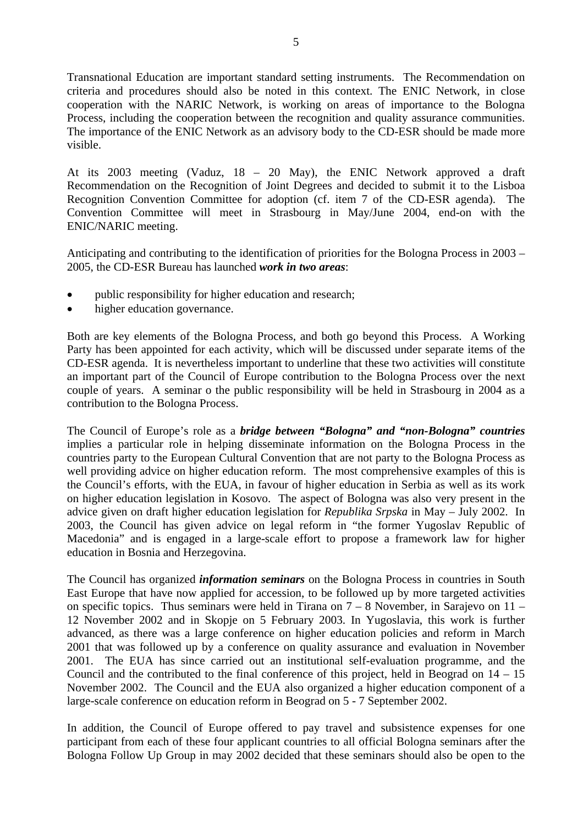Transnational Education are important standard setting instruments. The Recommendation on criteria and procedures should also be noted in this context. The ENIC Network, in close cooperation with the NARIC Network, is working on areas of importance to the Bologna Process, including the cooperation between the recognition and quality assurance communities. The importance of the ENIC Network as an advisory body to the CD-ESR should be made more visible.

At its 2003 meeting (Vaduz, 18 – 20 May), the ENIC Network approved a draft Recommendation on the Recognition of Joint Degrees and decided to submit it to the Lisboa Recognition Convention Committee for adoption (cf. item 7 of the CD-ESR agenda). The Convention Committee will meet in Strasbourg in May/June 2004, end-on with the ENIC/NARIC meeting.

Anticipating and contributing to the identification of priorities for the Bologna Process in 2003 – 2005, the CD-ESR Bureau has launched *work in two areas*:

- public responsibility for higher education and research;
- higher education governance.

Both are key elements of the Bologna Process, and both go beyond this Process. A Working Party has been appointed for each activity, which will be discussed under separate items of the CD-ESR agenda. It is nevertheless important to underline that these two activities will constitute an important part of the Council of Europe contribution to the Bologna Process over the next couple of years. A seminar o the public responsibility will be held in Strasbourg in 2004 as a contribution to the Bologna Process.

The Council of Europe's role as a *bridge between "Bologna" and "non-Bologna" countries* implies a particular role in helping disseminate information on the Bologna Process in the countries party to the European Cultural Convention that are not party to the Bologna Process as well providing advice on higher education reform. The most comprehensive examples of this is the Council's efforts, with the EUA, in favour of higher education in Serbia as well as its work on higher education legislation in Kosovo. The aspect of Bologna was also very present in the advice given on draft higher education legislation for *Republika Srpska* in May – July 2002. In 2003, the Council has given advice on legal reform in "the former Yugoslav Republic of Macedonia" and is engaged in a large-scale effort to propose a framework law for higher education in Bosnia and Herzegovina.

The Council has organized *information seminars* on the Bologna Process in countries in South East Europe that have now applied for accession, to be followed up by more targeted activities on specific topics. Thus seminars were held in Tirana on  $7 - 8$  November, in Sarajevo on  $11 -$ 12 November 2002 and in Skopje on 5 February 2003. In Yugoslavia, this work is further advanced, as there was a large conference on higher education policies and reform in March 2001 that was followed up by a conference on quality assurance and evaluation in November 2001. The EUA has since carried out an institutional self-evaluation programme, and the Council and the contributed to the final conference of this project, held in Beograd on 14 – 15 November 2002. The Council and the EUA also organized a higher education component of a large-scale conference on education reform in Beograd on 5 - 7 September 2002.

In addition, the Council of Europe offered to pay travel and subsistence expenses for one participant from each of these four applicant countries to all official Bologna seminars after the Bologna Follow Up Group in may 2002 decided that these seminars should also be open to the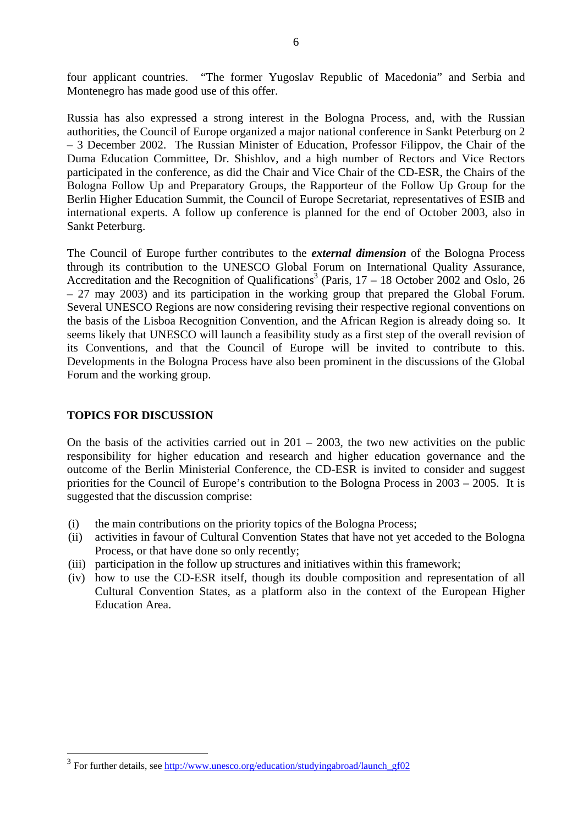four applicant countries. "The former Yugoslav Republic of Macedonia" and Serbia and Montenegro has made good use of this offer.

Russia has also expressed a strong interest in the Bologna Process, and, with the Russian authorities, the Council of Europe organized a major national conference in Sankt Peterburg on 2 – 3 December 2002. The Russian Minister of Education, Professor Filippov, the Chair of the Duma Education Committee, Dr. Shishlov, and a high number of Rectors and Vice Rectors participated in the conference, as did the Chair and Vice Chair of the CD-ESR, the Chairs of the Bologna Follow Up and Preparatory Groups, the Rapporteur of the Follow Up Group for the Berlin Higher Education Summit, the Council of Europe Secretariat, representatives of ESIB and international experts. A follow up conference is planned for the end of October 2003, also in Sankt Peterburg.

The Council of Europe further contributes to the *external dimension* of the Bologna Process through its contribution to the UNESCO Global Forum on International Quality Assurance, Accreditation and the Recognition of Qualifications<sup>3</sup> (Paris,  $17 - 18$  October 2002 and Oslo, 26 – 27 may 2003) and its participation in the working group that prepared the Global Forum. Several UNESCO Regions are now considering revising their respective regional conventions on the basis of the Lisboa Recognition Convention, and the African Region is already doing so. It seems likely that UNESCO will launch a feasibility study as a first step of the overall revision of its Conventions, and that the Council of Europe will be invited to contribute to this. Developments in the Bologna Process have also been prominent in the discussions of the Global Forum and the working group.

### **TOPICS FOR DISCUSSION**

 $\overline{a}$ 

On the basis of the activities carried out in  $201 - 2003$ , the two new activities on the public responsibility for higher education and research and higher education governance and the outcome of the Berlin Ministerial Conference, the CD-ESR is invited to consider and suggest priorities for the Council of Europe's contribution to the Bologna Process in 2003 – 2005. It is suggested that the discussion comprise:

- (i) the main contributions on the priority topics of the Bologna Process;
- (ii) activities in favour of Cultural Convention States that have not yet acceded to the Bologna Process, or that have done so only recently;
- (iii) participation in the follow up structures and initiatives within this framework;
- (iv) how to use the CD-ESR itself, though its double composition and representation of all Cultural Convention States, as a platform also in the context of the European Higher Education Area.

<sup>&</sup>lt;sup>3</sup> For further details, see http://www.unesco<u>.org/education/studyingabroad/launch\_gf02</u>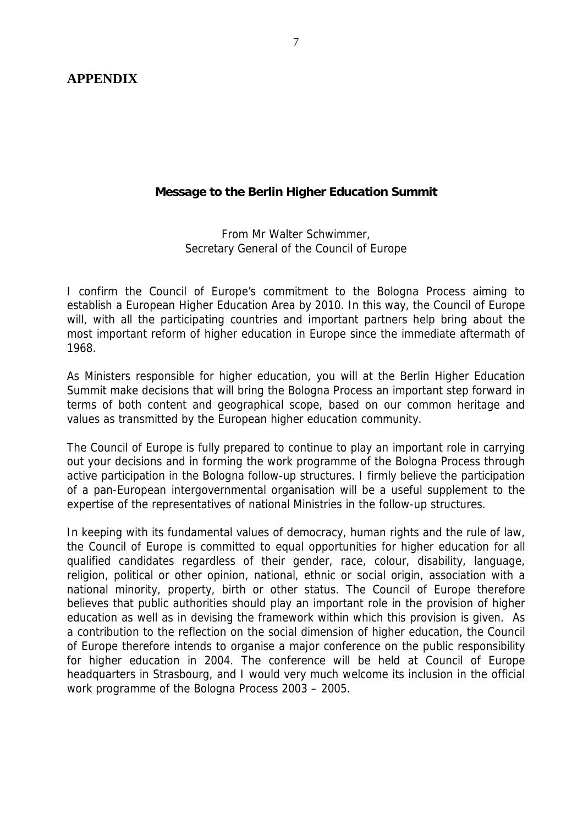**APPENDIX** 

## **Message to the Berlin Higher Education Summit**

From Mr Walter Schwimmer, Secretary General of the Council of Europe

I confirm the Council of Europe's commitment to the Bologna Process aiming to establish a European Higher Education Area by 2010. In this way, the Council of Europe will, with all the participating countries and important partners help bring about the most important reform of higher education in Europe since the immediate aftermath of 1968.

As Ministers responsible for higher education, you will at the Berlin Higher Education Summit make decisions that will bring the Bologna Process an important step forward in terms of both content and geographical scope, based on our common heritage and values as transmitted by the European higher education community.

The Council of Europe is fully prepared to continue to play an important role in carrying out your decisions and in forming the work programme of the Bologna Process through active participation in the Bologna follow-up structures. I firmly believe the participation of a pan-European intergovernmental organisation will be a useful supplement to the expertise of the representatives of national Ministries in the follow-up structures.

In keeping with its fundamental values of democracy, human rights and the rule of law, the Council of Europe is committed to equal opportunities for higher education for all qualified candidates regardless of their gender, race, colour, disability, language, religion, political or other opinion, national, ethnic or social origin, association with a national minority, property, birth or other status. The Council of Europe therefore believes that public authorities should play an important role in the provision of higher education as well as in devising the framework within which this provision is given. As a contribution to the reflection on the social dimension of higher education, the Council of Europe therefore intends to organise a major conference on the public responsibility for higher education in 2004. The conference will be held at Council of Europe headquarters in Strasbourg, and I would very much welcome its inclusion in the official work programme of the Bologna Process 2003 – 2005.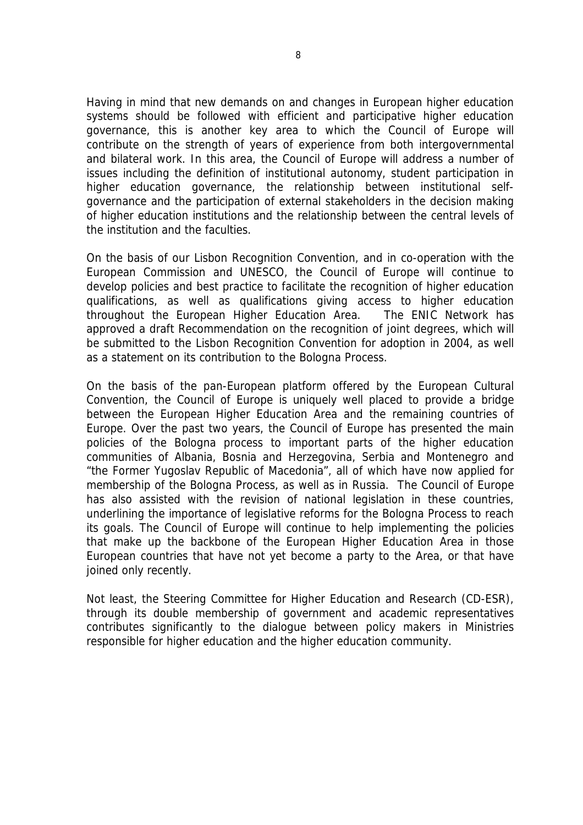Having in mind that new demands on and changes in European higher education systems should be followed with efficient and participative higher education governance, this is another key area to which the Council of Europe will contribute on the strength of years of experience from both intergovernmental and bilateral work. In this area, the Council of Europe will address a number of issues including the definition of institutional autonomy, student participation in higher education governance, the relationship between institutional selfgovernance and the participation of external stakeholders in the decision making of higher education institutions and the relationship between the central levels of the institution and the faculties.

On the basis of our Lisbon Recognition Convention, and in co-operation with the European Commission and UNESCO, the Council of Europe will continue to develop policies and best practice to facilitate the recognition of higher education qualifications, as well as qualifications giving access to higher education throughout the European Higher Education Area. The ENIC Network has approved a draft Recommendation on the recognition of joint degrees, which will be submitted to the Lisbon Recognition Convention for adoption in 2004, as well as a statement on its contribution to the Bologna Process.

On the basis of the pan-European platform offered by the European Cultural Convention, the Council of Europe is uniquely well placed to provide a bridge between the European Higher Education Area and the remaining countries of Europe. Over the past two years, the Council of Europe has presented the main policies of the Bologna process to important parts of the higher education communities of Albania, Bosnia and Herzegovina, Serbia and Montenegro and "the Former Yugoslav Republic of Macedonia", all of which have now applied for membership of the Bologna Process, as well as in Russia. The Council of Europe has also assisted with the revision of national legislation in these countries, underlining the importance of legislative reforms for the Bologna Process to reach its goals. The Council of Europe will continue to help implementing the policies that make up the backbone of the European Higher Education Area in those European countries that have not yet become a party to the Area, or that have joined only recently.

Not least, the Steering Committee for Higher Education and Research (CD-ESR), through its double membership of government and academic representatives contributes significantly to the dialogue between policy makers in Ministries responsible for higher education and the higher education community.